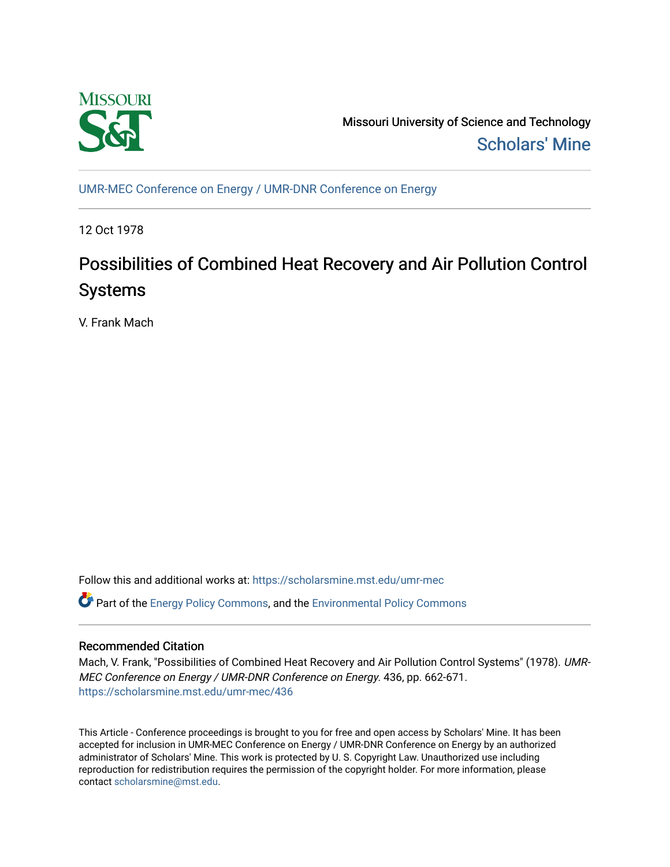

Missouri University of Science and Technology [Scholars' Mine](https://scholarsmine.mst.edu/) 

[UMR-MEC Conference on Energy / UMR-DNR Conference on Energy](https://scholarsmine.mst.edu/umr-mec)

12 Oct 1978

# Possibilities of Combined Heat Recovery and Air Pollution Control Systems

V. Frank Mach

Follow this and additional works at: [https://scholarsmine.mst.edu/umr-mec](https://scholarsmine.mst.edu/umr-mec?utm_source=scholarsmine.mst.edu%2Fumr-mec%2F436&utm_medium=PDF&utm_campaign=PDFCoverPages) 

**C** Part of the [Energy Policy Commons](http://network.bepress.com/hgg/discipline/1065?utm_source=scholarsmine.mst.edu%2Fumr-mec%2F436&utm_medium=PDF&utm_campaign=PDFCoverPages), and the Environmental Policy Commons

# Recommended Citation

Mach, V. Frank, "Possibilities of Combined Heat Recovery and Air Pollution Control Systems" (1978). UMR-MEC Conference on Energy / UMR-DNR Conference on Energy. 436, pp. 662-671. [https://scholarsmine.mst.edu/umr-mec/436](https://scholarsmine.mst.edu/umr-mec/436?utm_source=scholarsmine.mst.edu%2Fumr-mec%2F436&utm_medium=PDF&utm_campaign=PDFCoverPages) 

This Article - Conference proceedings is brought to you for free and open access by Scholars' Mine. It has been accepted for inclusion in UMR-MEC Conference on Energy / UMR-DNR Conference on Energy by an authorized administrator of Scholars' Mine. This work is protected by U. S. Copyright Law. Unauthorized use including reproduction for redistribution requires the permission of the copyright holder. For more information, please contact [scholarsmine@mst.edu](mailto:scholarsmine@mst.edu).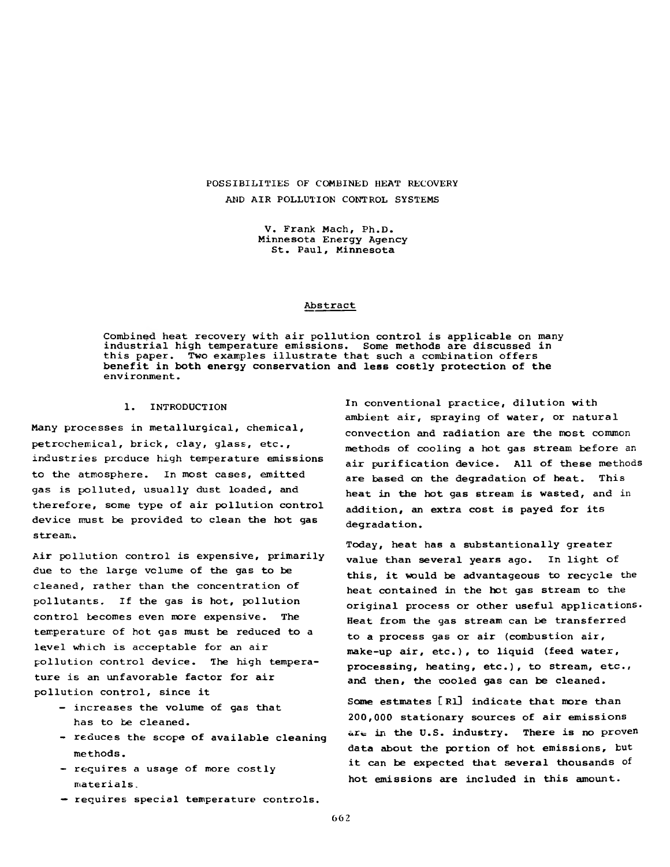## POSSIBILITIES OF COMBINED HEAT RECOVERY AND AIR POLLUTION CONTROL SYSTEMS

V. Frank Mach, Ph.D. Minnesota Energy Agency St. Paul, Minnesota

### Abstract

Combined heat recovery with air pollution control is applicable on many industrial high temperature emissions. Some methods are discussed in this paper. Two examples illustrate that such a combination offers benefit in both energy conservation and less costly protection of the environment.

### 1. INTRODUCTION

Many processes in metallurgical, chemical, petrochemical, brick, clay, glass, etc., industries produce high temperature emissions to the atmosphere. In most cases, emitted gas is polluted, usually dust loaded, and therefore, some type of air pollution control device must be provided to clean the hot gas stream.

Air pollution control is expensive, primarily due to the large volume of the gas to be cleaned, rather than the concentration of pollutants. If the gas is hot, pollution control becomes even more expensive. The temperature of hot gas must be reduced to a level which is acceptable for an air pollution control device. The high temperature is an unfavorable factor for air pollution control, since it

- increases the volume of gas that has to be cleaned.
- reduces the scope of available cleaning methods.
- requires a usage of more costly materials.
- requires special temperature controls.

In conventional practice, dilution with ambient air, spraying of water, or natural convection and radiation are the most common methods of cooling a hot gas stream before an air purification device. All of these methods are based on the degradation of heat. This heat in the hot gas stream is wasted, and in addition, an extra cost is payed for its degradation.

Today, heat has a substantionally greater value than several years ago. In light of this, it would be advantageous to recycle the heat contained in the hot gas stream to the original process or other useful applications. Heat from the gas stream can be transferred to a process gas or air (combustion air, make-up air, etc.), to liquid (feed water, processing, heating, etc.), to stream, etc., and then, the cooled gas can be cleaned.

Some estmates [R1] indicate that more than 200,000 stationary sources of air emissions  $are in the U.S. industry. There is no proven$ data about the portion of hot emissions, but it can be expected that several thousands of hot emissions are included in this amount.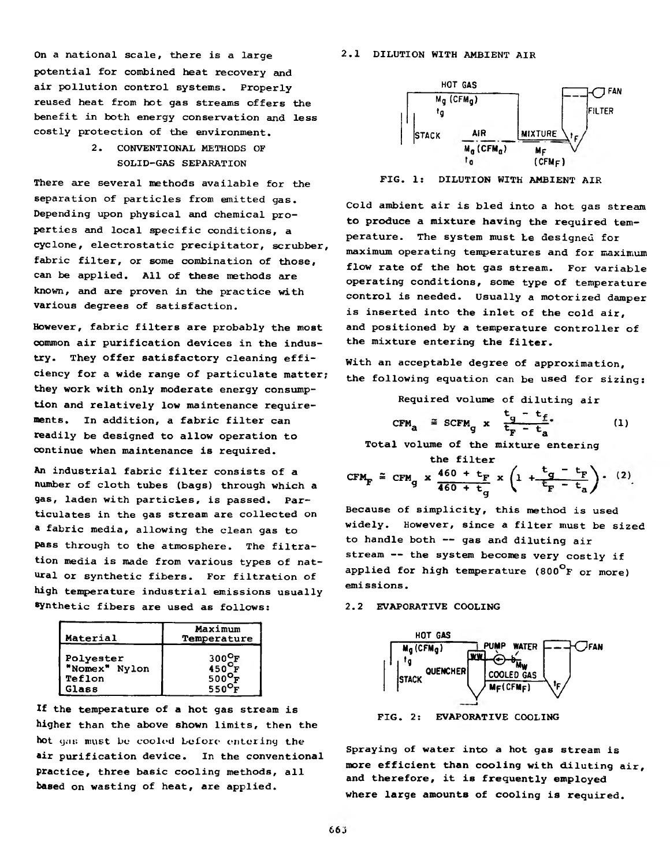On a national scale, there is a large  $2.1$  DILUTION WITH AMBIENT AIR potential for combined heat recovery and air pollution control systems. Properly reused heat from hot gas streams offers the benefit in both energy conservation and less costly protection of the environment.

> 2. CONVENTIONAL METHODS OF SOLID-GAS SEPARATION

There are several methods available for the separation of particles from emitted gas. Depending upon physical and chemical properties and local specific conditions, a cyclone, electrostatic precipitator, scrubber, fabric filter, or some combination of those, can be applied. All of these methods are known, and are proven in the practice with various degrees of satisfaction.

However, fabric filters are probably the most common air purification devices in the industry. They offer satisfactory cleaning efficiency for a wide range of particulate matter; they work with only moderate energy consumption and relatively low maintenance requirements. In addition, a fabric filter can readily be designed to allow operation to continue when maintenance is required.

An industrial fabric filter consists of a number of cloth tubes (bags) through which a gas, laden with particles, is passed. Particulates in the gas stream are collected on a fabric media, allowing the clean gas to pass through to the atmosphere. The filtration media is made from various types of natural or synthetic fibers. For filtration of high temperature industrial emissions usually synthetic fibers are used as follows:

| Material      | Maximum<br>Temperature |  |
|---------------|------------------------|--|
| Polyester     | $300^{\circ}$ F        |  |
| "Nomex" Nylon | $450$ <sup>V</sup> F   |  |
| Teflon        | $500^{\circ}$ F        |  |
| <b>Glass</b>  | $550^\circ$ I          |  |

If the temperature of a hot gas stream is higher than the above shown limits, then the hot gas must be cooled before entering the air purification device. In the conventional practice, three basic cooling methods, all based on wasting of heat, are applied.



FIG. 1: DILUTION WITH AMBIENT AIR

Cold ambient air is bled into a hot gas stream to produce a mixture having the required temperature. The system must be designed for maximum operating temperatures and for maximum flow rate of the hot gas stream. For variable operating conditions, some type of temperature control is needed. Usually a motorized damper is inserted into the inlet of the cold air, and positioned by a temperature controller of the mixture entering the filter.

With an acceptable degree of approximation, the following equation can be used for sizing:

Required volume of diluting air

$$
\text{CFM}_{a} \cong \text{SCFM}_{g} \times \frac{t_{g} - t_{f}}{t_{F} - t_{a}} \tag{1}
$$

Total volume of the mixture entering

the filter

$$
\text{CFM}_{\text{F}} \cong \text{CFM}_{\text{G}} \times \frac{460 + t_{\text{F}}}{460 + t_{\text{G}}} \times \left(1 + \frac{t_{\text{G}} - t_{\text{F}}}{t_{\text{F}} - t_{\text{a}}}\right) \cdot (2).
$$

Because of simplicity, this method is used widely. However, since a filter must be sized to handle both -- gas and diluting air stream -- the system becomes very costly if applied for high temperature (800<sup>°</sup>F or more) emissions.

### 2.2 EVAPORATIVE COOLING



FIG. 2: EVAPORATIVE COOLING

Spraying of water into a hot gas stream is more efficient than cooling with diluting air, and therefore, it is frequently employed where large amounts of cooling is required.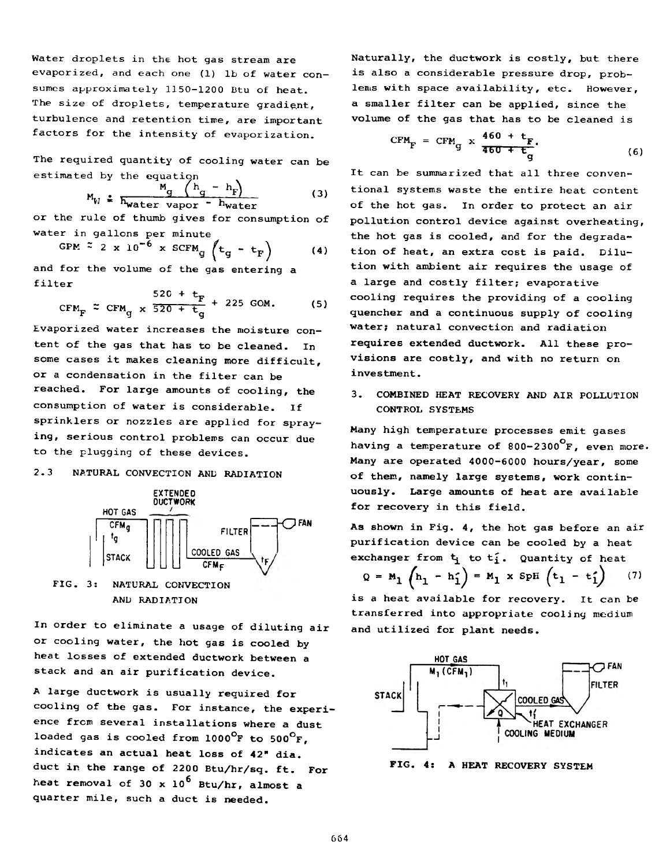Water droplets in the hot gas stream are evaporized, and each one (1) lb of water consumes approximately 1150-1200 Btu of heat. The size of droplets, temperature gradient, turbulence and retention time, are important factors for the intensity of evaporization.

The required quantity of cooling water can be estimated by the equation

$$
M_{V} \triangleq \frac{M_g}{h_{\text{water vapor}} - h_{\text{water}}}
$$
 (3)

or the rule of thumb gives for consumption of water in gallons per minute

water in gallons per minute  
GPM 
$$
\approx 2 \times 10^{-6} \times \text{SCFM}_{g} \left( t_g - t_F \right)
$$
 (4)  
and for the volume of the gas entering a

filter

$$
CFMF \approx CFMg \times \frac{520 + t_F}{520 + t_g} + 225
$$
 GOM. (5)

Evaporized water increases the moisture content of the gas that has to be cleaned. In some cases it makes cleaning more difficult, or a condensation in the filter can be reached. For large amounts of cooling, the consumption of water is considerable. If sprinklers or nozzles are applied for spraying, serious control problems can occur due to the plugging of these devices.

# 2.3 NATURAL CONVECTION AND RADIATION



FIG. 3: NATURAL CONVECTION AND RADIATION

In order to eliminate a usage of diluting air or cooling water, the hot gas is cooled by heat losses of extended ductwork between a stack and an air purification device.

A large ductwork is usually required for cooling of the gas. For instance, the experience from several installations where a dust loaded gas is cooled from  $1000^{\circ}$ F to  $500^{\circ}$ F, indicates an actual heat loss of 42" dia. duct in the range of 2200 Btu/hr/sq. ft. For heat removal of 30 x  $10^6$  Btu/hr, almost a quarter mile, such a duct is needed.

Naturally, the ductwork is costly, but there is also a considerable pressure drop, problems with space availability, etc. However, a smaller filter can be applied, since the volume of the gas that has to be cleaned is

$$
CFMF = CFMg \times \frac{460 + tF}{460 + tg}.
$$
 (6)

It can be summarized that all three conventional systems waste the entire heat content of the hot gas. In order to protect an air pollution control device against overheating, the hot gas is cooled, and for the degradation of heat, an extra cost is paid. Dilution with ambient air requires the usage of a large and costly filter; evaporative cooling requires the providing of a cooling quencher and a continuous supply of cooling water; natural convection and radiation requires extended ductwork. All these provisions are costly, and with no return on investment.

3. COMBINED HEAT RECOVERY AND AIR POLLUTION CONTROL SYSTEMS

Many high temperature processes emit gases having a temperature of 800-2300<sup>°</sup>F, even more. Many are operated 4000-6000 hours/year, some of them, namely large systems, work continuously. Large amounts of heat are available for recovery in this field.

As shown in Fig. 4, the hot gas before an air purification device can be cooled by a heat exchanger from  $t_i$  to  $t_i$ . Quantity of heat

$$
Q = M_1 \left( h_1 - h_1' \right) = M_1 \times SpH \left( t_1 - t_1' \right) \qquad (7)
$$

is a heat available for recovery. It can be transferred into appropriate cooling medium and utilized for plant needs.



FIG. 4: A HEAT RECOVERY SYSTEM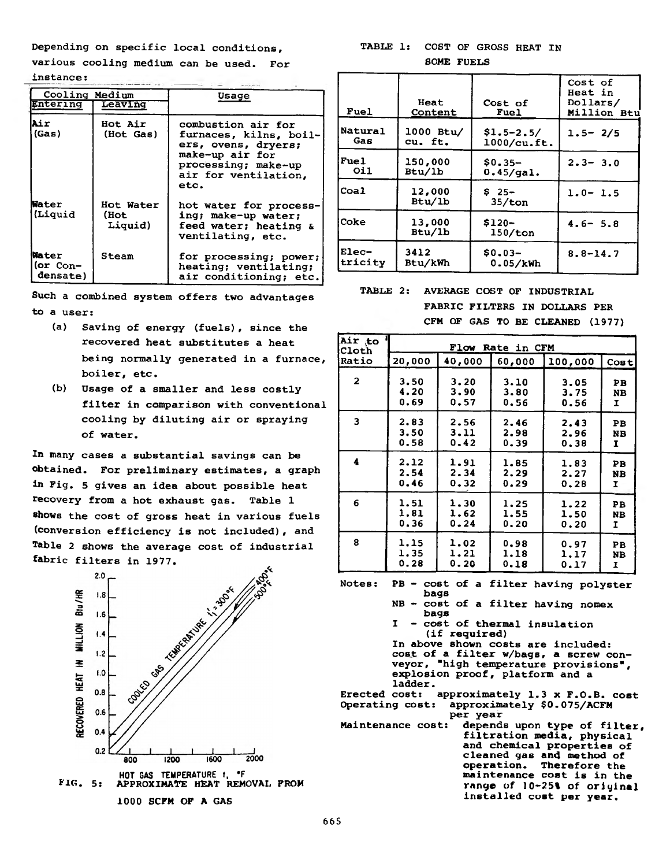Depending on specific local conditions,

various cooling medium can be used. For instance:

| Cooling Medium                      |                              | Usage                                                                                                                                         |  |
|-------------------------------------|------------------------------|-----------------------------------------------------------------------------------------------------------------------------------------------|--|
| Entering                            | Leaving                      |                                                                                                                                               |  |
| Air<br>(Gas)                        | Hot Air<br>(Hot Gas)         | combustion air for<br>furnaces, kilns, boil-<br>ers, ovens, dryers;<br>make-up air for<br>processing; make-up<br>air for ventilation,<br>etc. |  |
| Water<br>(Liquid                    | Hot Water<br>(Hot<br>Liquid) | hot water for process-<br>ing; make-up water;<br>feed water; heating &<br>ventilating, etc.                                                   |  |
| Mater<br>$($ or Con $-$<br>densate) | Steam                        | for processing; power;<br>heating; ventilating;<br>air conditioning; etc.                                                                     |  |

Such a combined system offers two advantages to a user:

- (a) Saving of energy (fuels), since the recovered heat substitutes a heat being normally generated in a furnace, boiler, etc.
- (b) Usage of a smaller and less costly filter in comparison with conventional cooling by diluting air or spraying of water.

In many cases a substantial savings can be obtained. For preliminary estimates, a graph in Fig. 5 gives an idea about possible heat recovery from a hot exhaust gas. Table 1 shows the cost of gross heat in various fuels (conversion efficiency is not included), and Table 2 shows the average cost of industrial fabric filters in 1977.



1000 SCFM OF A GAS

TABLE 1: COST OF GROSS HEAT IN SOME FUELS

| Fuel           | Heat<br>Content  | Cost of<br>Fuel    | Cost of<br><b>Heat in</b><br>Dollars/<br>Million Btu |
|----------------|------------------|--------------------|------------------------------------------------------|
| <b>Natural</b> | $1000$ Btu/      | $$1.5 - 2.5/$      | $1.5 - 2/5$                                          |
| Gas            | cu. ft.          | 1000/cu.ft.        |                                                      |
| <b>Fuel</b>    | 150,000          | $$0.35-$           | $2.3 - 3.0$                                          |
| Oil            | Btu/1b           | $0.45$ /qal.       |                                                      |
| Coal           | 12,000<br>Btu/1b | $$25-$<br>35/ton   | $1.0 - 1.5$                                          |
| Coke           | 13,000<br>Btu/1b | $$120-$<br>150/ton | $4.6 - 5.8$                                          |
| $Elec-$        | 3412             | $$0.03-$           | $8.8 - 14.7$                                         |
| tricity        | Btu/kWh          | 0.05/kWh           |                                                      |

TABLE 2: AVERAGE COST OF INDUSTRIAL FABRIC FILTERS IN DOLLARS PER CFM OF GAS TO BE CLEANED (1977)

| Air to<br>Cloth         | Flow Rate in CFM |        |        |         |      |
|-------------------------|------------------|--------|--------|---------|------|
| Ratio                   | 20,000           | 40,000 | 60,000 | 100,000 | Cost |
| $\mathbf{2}$            | 3.50             | 3.20   | 3.10   | 3.05    | PB   |
|                         | 4.20             | 3,90   | 3.80   | 3.75    | NB.  |
|                         | 0.69             | 0.57   | 0.56   | 0.56    | I    |
| $\overline{\mathbf{3}}$ | 2.83             | 2.56   | 2.46   | 2.43    | PB   |
|                         | 3.50             | 3.11   | 2.98   | 2.96    | NB   |
|                         | 0.58             | 0.42   | 0.39   | 0.38    | I    |
| 4                       | 2.12             | 1.91   | 1.85   | 1.83    | PB   |
|                         | 2.54             | 2.34   | 2.29   | 2.27    | NB   |
|                         | 0.46             | 0.32   | 0.29   | 0.28    | 1    |
| 6                       | 1.51             | 1.30   | 1.25   | 1.22    | PB   |
|                         | 1.81             | 1.62   | 1.55   | 1.50    | NB   |
|                         | 0.36             | 0.24   | 0.20   | 0.20    | I    |
| 8                       | 1.15             | 1.02   | 0.98   | 0.97    | PB   |
|                         | 1.35             | 1.21   | 1.18   | 1.17    | NB   |
|                         | 0.28             | 0.20   | 0.18   | 0.17    | 1    |

Notes: PB - cost of a filter having polyster

- bags NB - cost of a filter having nomex bags
	- I cost of thermal insulation (if required)

In above shown costs are included: cost of a filter w/bags, a screw conveyor, "high temperature provisions", explosion proof, platform and a ladder.

Erected cost: approximately 1.3 x F.O.B. cost Operating cost: approximately \$0.075/ACFM per year Maintenance cost: depends upon type of filter, filtration media, physical

and chemical properties of cleaned gas and method of operation. Therefore the maintenance cost is in the range of 10-25% of original installed cost per year.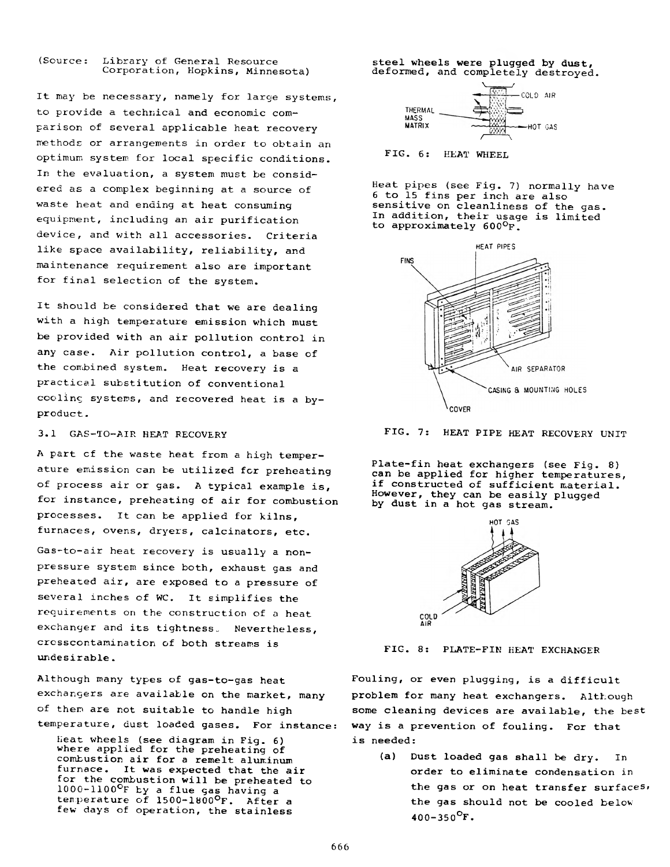### (Source: Library of General Resource Corporation, Hopkins, Minnesota)

It may be necessary, namely for large systems, to provide a technical and economic comparison of several applicable heat recovery methods or arrangements in order to obtain an optimum system for local specific conditions. In the evaluation, a system must be considered as a complex beginning at a source of waste heat and ending at heat consuming equipment, including an air purification device, and with all accessories. Criteria like space availability, reliability, and maintenance requirement also are important for final selection of the system.

It should be considered that we are dealing with a high temperature emission which must be provided with an air pollution control in any case. Air pollution control, a base of the combined system. Heat recovery is a practical substitution of conventional cooling systems, and recovered heat is a byproduct .

A part cf the waste heat from a high temperature emission can be utilized for preheating of process air or gas. A typical example is, for instance, preheating of air for combustion processes. It can be applied for kilns, furnaces, ovens, dryers, calcinators, etc.

Gas-to-air heat recovery is usually a nonpressure system since both, exhaust gas and preheated air, are exposed to a pressure of several inches of WC. It simplifies the requirements on the construction of a heat exchanger and its tightness. Nevertheless, crcsscontamination of both streams is undesirable.

Although many types of gas-to-gas heat exchangers are available on the market, many of them are not suitable to handle high temperature, dust loaded gases. For instance:

Heat wheels (see diagram in Fig. 6) where applied for the preheating of combustion air for a remelt aluminum furnace. It was expected that the air for the combustion will be preheated to 1000-1100°F by a flue gas having a temperature of 1500-1800°F. After a few days of operation, the stainless

steel wheels were plugged by dust, deformed, and completely destroyed. \\_\_\_\_/





Heat pipes (see Fig. 7) normally have 6 to 15 fins per inch are also sensitive on cleanliness of the gas. In addition, their usage is limited to approximately 600°f .





Plate-fin heat exchangers (see Fig. 8) can be applied for higher temperatures, if constructed of sufficient material. However, they can be easily plugged by dust in a hot gas stream.



FIG. 8: PLATE-FIN HEAT EXCHANGER

Fouling, or even plugging, is a difficult problem for many heat exchangers. Although some cleaning devices are available, the **best** way is a prevention of fouling. For that is needed:

(a) Dust loaded gas shall be dry. In order to eliminate condensation in the gas or on heat transfer **surfaces,** the gas should not be cooled below  $400 - 350$ <sup>O</sup>F.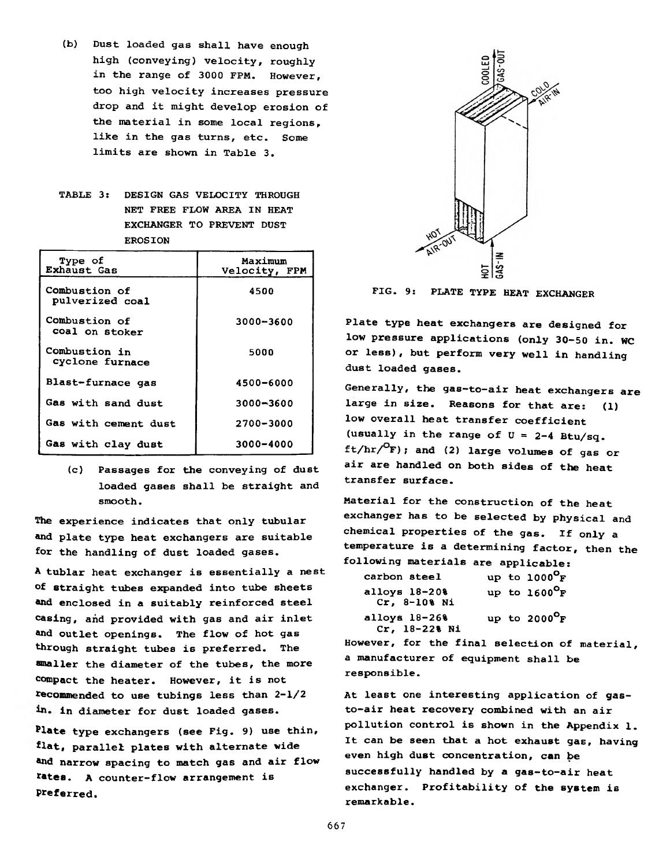- (b) Dust loaded gas shall have enough high (conveying) velocity, roughly in the range of 3000 FPM. However, too high velocity increases pressure drop and it might develop erosion of the material in some local regions, like in the gas turns, etc. Some limits are shown in Table 3.
- TABLE 3: DESIGN GAS VELOCITY THROUGH NET FREE FLOW AREA IN HEAT EXCHANGER TO PREVENT DUST EROSION

| Type of<br><b>Exhaust Gas</b>    | Maximum<br>Velocity, FPM |  |  |
|----------------------------------|--------------------------|--|--|
| Combustion of<br>pulverized coal | 4500                     |  |  |
| Combustion of<br>coal on stoker  | 3000-3600                |  |  |
| Combustion in<br>cyclone furnace | 5000                     |  |  |
| Blast-furnace gas                | 4500-6000                |  |  |
| Gas with sand dust               | 3000-3600                |  |  |
| Gas with cement dust             | 2700-3000                |  |  |
| Gas with clay dust               | 3000-4000                |  |  |

(c) Passages for the conveying of dust loaded gases shall be straight and smooth.

The experience indicates that only tubular and plate type heat exchangers are suitable for the handling of dust loaded gases.

A tublar heat exchanger is essentially a nest of straight tubes expanded into tube sheets and enclosed in a suitably reinforced steel casing, and provided with gas and air inlet and outlet openings. The flow of hot gas through straight tubes is preferred. The smaller the diameter of the tubes, the more compact the heater. However, it is not recommended to use tubings less than 2-1/2 in. in diameter for dust loaded gases.

Plate type exchangers (see Fig. 9) use thin, flat, parallel plates with alternate wide and narrow spacing to match gas and air flow rates, a counter-flow arrangement is Preferred.



FIG. 9: PLATE TYPE HEAT EXCHANGER

Plate type heat exchangers are designed for low pressure applications (only 30-50 in. WC or less), but perform very well in handling dust loaded gases.

Generally, the gas—to—air heat exchangers are large in size. Reasons for that are: (1) low overall heat transfer coefficient (usually in the range of  $U = 2-4$  Btu/sq.  $ft/hr/$  $F$ ); and (2) large volumes of gas or air are handled on both sides of the heat transfer surface.

Material for the construction of the heat exchanger has to be selected by physical and chemical properties of the gas. If only a temperature is a determining factor, then the following materials are applicable:

| carbon steel                      | up to $1000^{\circ}$ F |
|-----------------------------------|------------------------|
| alloys $18-208$<br>$Cr, 8-108$ Ni | up to $1600^{\circ}$ F |
| alloys $18-268$<br>Cr, 18-22% Ni  | up to $2000^{\circ}$ F |

However, for the final selection of material, a manufacturer of equipment shall be responsible.

At least one interesting application of gasto-air heat recovery combined with an air pollution control is shown in the Appendix 1. It can be seen that a hot exhaust gas, having even high dust concentration, can be successfully handled by a gas-to-air heat exchanger. Profitability of the system is remarkable.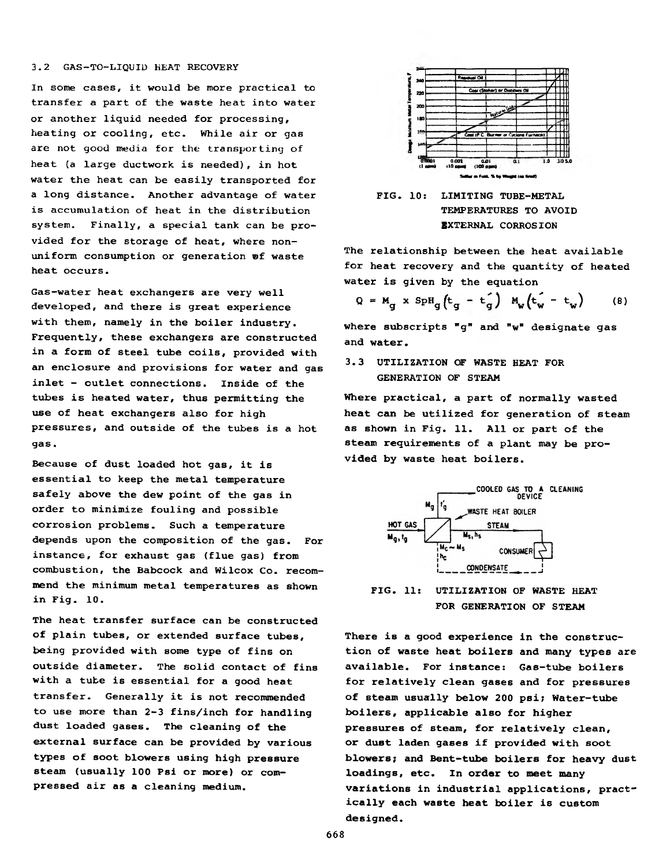### 3.2 GAS-TO-LIQUID HEAT RECOVERY

In some cases, it would be more practical to transfer a part of the waste heat into water or another liquid needed for processing, heating or cooling, etc. While air or gas are not good media for the transporting of heat (a large ductwork is needed), in hot water the heat can be easily transported for a long distance. Another advantage of water is accumulation of heat in the distribution system. Finally, a special tank can be provided for the storage of heat, where nonuniform consumption or generation ®f waste heat occurs.

Gas-water heat exchangers are very well developed, and there is great experience with them, namely in the boiler industry. Frequently, these exchangers are constructed in a form of steel tube coils, provided with an enclosure and provisions for water and gas inlet - outlet connections. Inside of the tubes is heated water, thus permitting the use of heat exchangers also for high pressures, and outside of the tubes is a hot gas.

Because of dust loaded hot gas, it is essential to keep the metal temperature safely above the dew point of the gas in order to minimize fouling and possible corrosion problems. Such a temperature depends upon the composition of the gas. For instance, for exhaust gas (flue gas) from combustion, the Babcock and Wilcox Co. recommend the minimum metal temperatures as shown in Fig. 10.

The heat transfer surface can be constructed of plain tubes, or extended surface tubes, being provided with some type of fins on outside diameter. The solid contact of fins with a tube is essential for a good heat transfer. Generally it is not recommended to use more than 2-3 fins/inch for handling dust loaded gases. The cleaning of the external surface can be provided by various types of soot blowers using high pressure steam (usually 100 Psi or more) or compressed air as a cleaning medium.





The relationship between the heat available for heat recovery and the quantity of heated water is given by the equation

$$
Q = M_g \times SpH_g(t_g - t_g) M_w(t_w - t_w)
$$
 (8)

where subscripts "g" and "w" designate gas and water.

3.3 UTILIZATION OF WASTE HEAT FOR GENERATION OF STEAM

Where practical, a part of normally wasted heat can be utilized for generation of steam as shown in Fig. 11. All or part of the steam requirements of a plant may be provided by waste heat boilers.



FIG. 11: UTILIZATION OF WASTE HEAT FOR GENERATION OF STEAM

There is a good experience in the construction of waste heat boilers and many types are available. For instance: Gas-tube boilers for relatively clean gases and for pressures of steam usually below 200 psi; Water-tube boilers, applicable also for higher pressures of steam, for relatively clean, or dust laden gases if provided with soot blowers; and Bent-tube boilers for heavy dust loadings, etc. In order to meet many variations in industrial applications, practically each waste heat boiler is custom designed.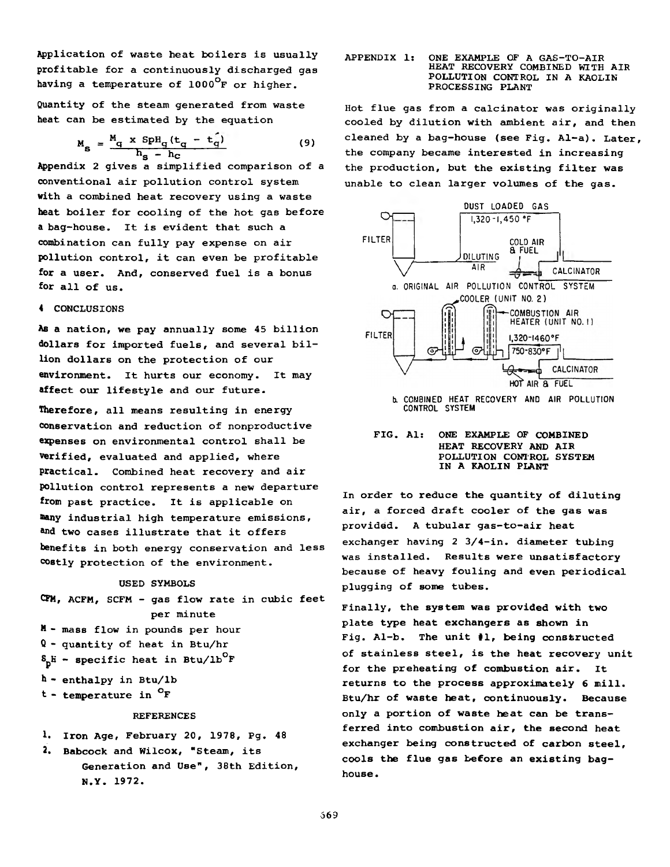Application of waste heat boilers is usually profitable for a continuously discharged gas having a temperature of 1000<sup>°</sup>F or higher.

Quantity of the steam generated from waste heat can be estimated by the equation

$$
M_{S} = \frac{M_{q} \times SpH_{q}(t_{q} - t_{q})}{h_{S} - h_{C}}
$$
 (9)

Appendix 2 gives a simplified comparison of a conventional air pollution control system with a combined heat recovery using a waste heat boiler for cooling of the hot gas before a bag-house. It is evident that such a combination can fully pay expense on air pollution control, it can even be profitable for a user. And, conserved fuel is a bonus for all of us.

### 4 CONCLUSIONS

As a nation, we pay annually some 45 billion dollars for imported fuels, and several billion dollars on the protection of our environment. It hurts our economy. It may affect our lifestyle and our future.

Therefore, all means resulting in energy conservation and reduction of nonproductive expenses on environmental control shall be verified, evaluated and applied, where practical. Combined heat recovery and air pollution control represents a new departure from past practice. It is applicable on nany industrial high temperature emissions, and two cases illustrate that it offers benefits in both energy conservation and less costly protection of the environment.

### USED SYMBOLS

CFM, ACFM, SCFM - gas flow rate in cubic feet per minute M - mass flow in pounds per hour Q - quantity of heat in Btu/hr  $S_p$ H - specific heat in Btu/lb<sup>O</sup>F h - enthalpy in Btu/lb t - temperature in °F REFERENCES

### 1. Iron Age, February 20, 1978, Pg. 48

**2. Babcock and Wilcox, "Steam, its** Generation and Use", 38th Edition, N.Y. 1972.

### APPENDIX 1: ONE EXAMPLE OF A GAS-TO-AIR HEAT RECOVERY COMBINED WITH AIR POLLUTION CONTROL IN A KAOLIN PROCESSING PLANT

Hot flue gas from a calcinator was originally cooled by dilution with ambient air, and then cleaned by a bag-house (see Fig. Al-a). Later, the company became interested in increasing the production, but the existing filter was unable to clean larger volumes of the gas.



**lx COMBINED HEAT RECOVERY AND AIR POLLUTION CONTROL SYSTEM**

FIG. Als ONE EXAMPLE OF COMBINED HEAT RECOVERY AND AIR POLLUTION CONTROL SYSTEM IN A KAOLIN PLANT

In order to reduce the quantity of diluting air, a forced draft cooler of the gas was provided. A tubular gas-to-air heat exchanger having 2 3/4-in. diameter tubing was installed. Results were unsatisfactory because of heavy fouling and even periodical plugging of some tubes.

Finally, the system was provided with two plate type heat exchangers as shown in Fig. Al-b. The unit #1, being constructed of stainless steel, is the heat recovery unit for the preheating of combustion air. It returns to the process approximately 6 mill. Btu/hr of waste heat, continuously. Because only a portion of waste heat can be transferred into combustion air, the second heat exchanger being constructed of carbon steel, cools the flue gas before an existing baghouse.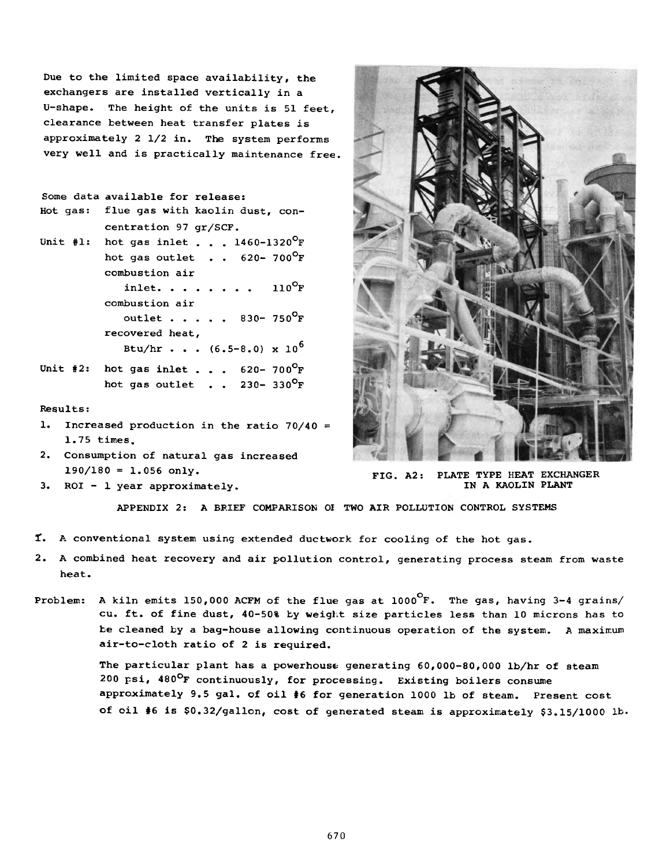Due to the limited space availability, the exchangers are installed vertically in a U-shape. The height of the units is 51 feet, clearance between heat transfer plates is approximately 2 1/2 in. The system performs very well and is practically maintenance free.

```
Some data available for release:
Hot gas: flue gas with kaolin dust, con-
           centration 97 gr/SCF.
Unit #1: hot gas inlet . . . 1460-1320^{\circ}F
           hot gas outlet . . 
620- 700°F
          combustion air
              inlet........ 110^{\circ}F
          combustion air
              outlet . . . . 830- 750^{\circ}F
          recovered heat,
              Btu/hr . . . (6.5-8.0) \times 10^6Unit #2: hot gas inlet . . . 620 - 700^{\circ}F
          hot gas outlet . . 230 - 330^{\circ}F
```
### Results:

- 1. Increased production in the ratio 70/40 = 1.75 times.
- 2. Consumption of natural gas increased  $190/180 = 1.056$  only.
- 3. ROI 1 year approximately.



FIG. A2: PLATE TYPE HEAT EXCHANGER IN A KAOLIN PLANT

APPENDIX 2: A BRIEF COMPARISON 01 TWO AIR POLLUTION CONTROL SYSTEMS

- *1.* A conventional system using extended ductwork for cooling of the hot gas.
- 2. A combined heat recovery and air pollution control, generating process steam from waste heat.
- Problem: A kiln emits 150,000 ACFM of the flue gas at  $1000^\circ$ F. The gas, having 3-4 grains/ cu. ft. of fine dust, 40-50% by weight size particles less than 10 microns has to be cleaned by a bag-house allowing continuous operation of the system. A maximum air-to-cloth ratio of 2 is required.

The particular plant has a powerhouse generating 60,000-80,000 lb/hr of steam 200 psi, 480°F continuously, for processing. Existing boilers consume approximately 9.5 gal. of oil #6 for generation 1000 lb of steam. Present cost of oil #6 is \$0.32/gallon, cost of generated steam is approximately \$3.15/1000 lb.